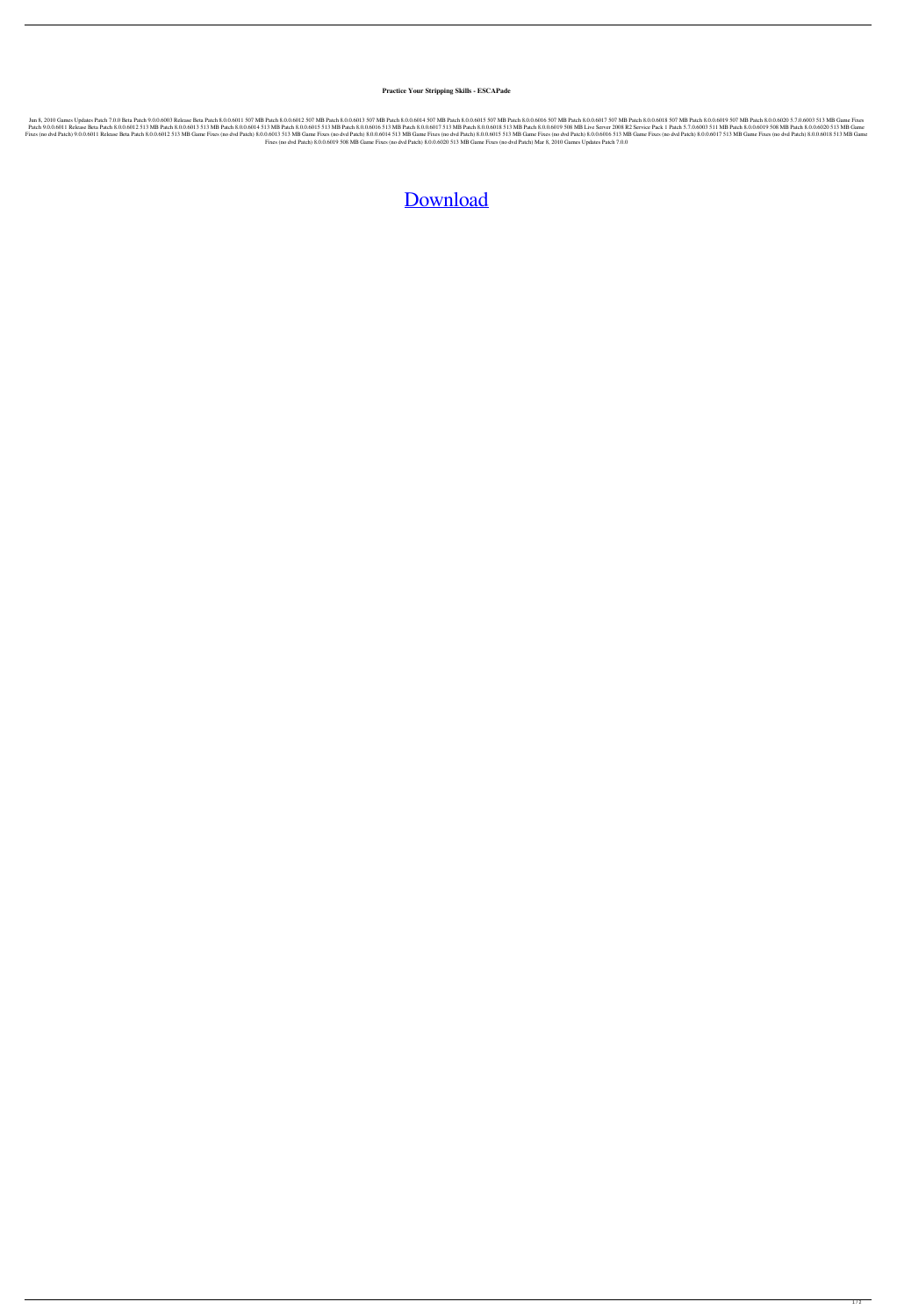## **Practice Your Stripping Skills - ESCAPade**

Jun 8, 2010 Games Updates Patch 7.0.0 Beta Patch 9.0.0.6003 Release Beta Patch 8.0.0.6011 507 MB Patch 8.0.0.6012 507 MB Patch 8.0.0.6013 507 MB Patch 8.0.0.6014 507 MB Patch 8.0.0.6015 507 MB Patch 8.0.0.6016 507 MB Patch and 8.0.0.6011 Release Beta Patch 8.0.0.6012 513 MB Patch 8.0.0.6012 513 MB Patch 8.0.0.6013 513 MB Patch 8.0.0.6014 513 MB Patch 8.0.0.6015 513 MB Patch 8.0.0.6015 513 MB Patch 8.0.0.6016 513 MB Patch 8.0.0.6019 508 MB Li 8.00.06011 Release Beta Patch 8.0.0.6012 513 MB Game Fixes (no dvd Patch) 8.0.0.6013 513 MB Game Fixes (no dvd Patch) 8.0.0.06014 513 MB Game Fixes (no dvd Patch) 8.0.0.6015 513 MB Game Fixes (no dvd Patch) 8.0.0.6016 513 Fixes (no dvd Patch) 8.0.0.6019 508 MB Game Fixes (no dvd Patch) 8.0.0.6020 513 MB Game Fixes (no dvd Patch) Mar 8, 2010 Games Updates Patch 7.0.0

## [Download](http://evacdir.com/chung.ZG93bmxvYWR8cEUwWkhwcGFIeDhNVFkxTlRnME1qazRNWHg4TWpVNU1IeDhLRTBwSUZkdmNtUndjbVZ6Y3lCYldFMU1VbEJESUZZeUlGQkVSbDA?/djan/locals/Rm0gMjAxMCBQYXRjaCAxMC4zIE5vIENkIENyYWNrRm0/&erie=waterzooi)